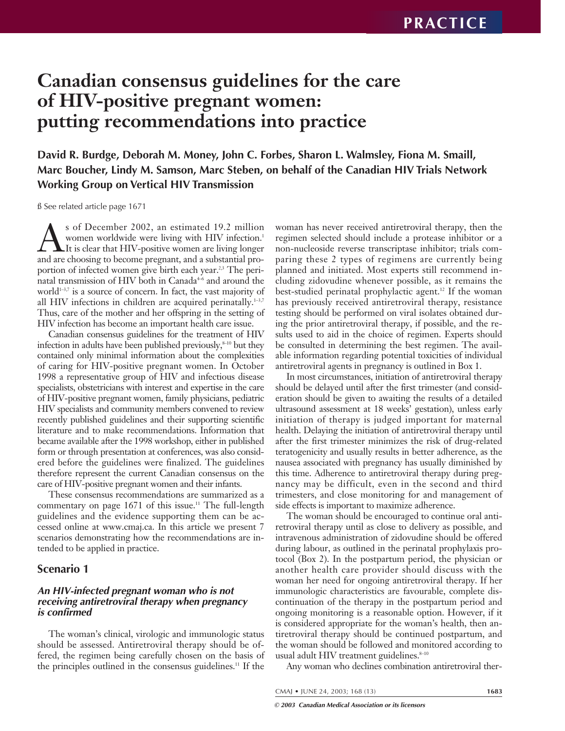# **Canadian consensus guidelines for the care of HIV-positive pregnant women: putting recommendations into practice**

**David R. Burdge, Deborah M. Money, John C. Forbes, Sharon L. Walmsley, Fiona M. Smaill, Marc Boucher, Lindy M. Samson, Marc Steben, on behalf of the Canadian HIV Trials Network Working Group on Vertical HIV Transmission**

ß See related article page 1671

S of December 2002, an estimated 19.2 million<br>women worldwide were living with HIV infection.<sup>1</sup><br>It is clear that HIV-positive women are living longer<br>and are choosing to become pregnant, and a substantial prowomen worldwide were living with HIV infection.<sup>1</sup> LIt is clear that HIV-positive women are living longer and are choosing to become pregnant, and a substantial proportion of infected women give birth each year.<sup>2,3</sup> The perinatal transmission of HIV both in Canada<sup>+6</sup> and around the world $1-3,7$  is a source of concern. In fact, the vast majority of all HIV infections in children are acquired perinatally. $1-3,7$ Thus, care of the mother and her offspring in the setting of HIV infection has become an important health care issue.

Canadian consensus guidelines for the treatment of HIV infection in adults have been published previously, $s$ <sup>10</sup> but they contained only minimal information about the complexities of caring for HIV-positive pregnant women. In October 1998 a representative group of HIV and infectious disease specialists, obstetricians with interest and expertise in the care of HIV-positive pregnant women, family physicians, pediatric HIV specialists and community members convened to review recently published guidelines and their supporting scientific literature and to make recommendations. Information that became available after the 1998 workshop, either in published form or through presentation at conferences, was also considered before the guidelines were finalized. The guidelines therefore represent the current Canadian consensus on the care of HIV-positive pregnant women and their infants.

These consensus recommendations are summarized as a commentary on page  $1671$  of this issue.<sup>11</sup> The full-length guidelines and the evidence supporting them can be accessed online at www.cmaj.ca. In this article we present 7 scenarios demonstrating how the recommendations are intended to be applied in practice.

## **Scenario 1**

## **An HIV-infected pregnant woman who is not receiving antiretroviral therapy when pregnancy is confirmed**

The woman's clinical, virologic and immunologic status should be assessed. Antiretroviral therapy should be offered, the regimen being carefully chosen on the basis of the principles outlined in the consensus guidelines.11 If the

woman has never received antiretroviral therapy, then the regimen selected should include a protease inhibitor or a non-nucleoside reverse transcriptase inhibitor; trials comparing these 2 types of regimens are currently being planned and initiated. Most experts still recommend including zidovudine whenever possible, as it remains the best-studied perinatal prophylactic agent.<sup>12</sup> If the woman has previously received antiretroviral therapy, resistance testing should be performed on viral isolates obtained during the prior antiretroviral therapy, if possible, and the results used to aid in the choice of regimen. Experts should be consulted in determining the best regimen. The available information regarding potential toxicities of individual antiretroviral agents in pregnancy is outlined in Box 1.

In most circumstances, initiation of antiretroviral therapy should be delayed until after the first trimester (and consideration should be given to awaiting the results of a detailed ultrasound assessment at 18 weeks' gestation), unless early initiation of therapy is judged important for maternal health. Delaying the initiation of antiretroviral therapy until after the first trimester minimizes the risk of drug-related teratogenicity and usually results in better adherence, as the nausea associated with pregnancy has usually diminished by this time. Adherence to antiretroviral therapy during pregnancy may be difficult, even in the second and third trimesters, and close monitoring for and management of side effects is important to maximize adherence.

The woman should be encouraged to continue oral antiretroviral therapy until as close to delivery as possible, and intravenous administration of zidovudine should be offered during labour, as outlined in the perinatal prophylaxis protocol (Box 2). In the postpartum period, the physician or another health care provider should discuss with the woman her need for ongoing antiretroviral therapy. If her immunologic characteristics are favourable, complete discontinuation of the therapy in the postpartum period and ongoing monitoring is a reasonable option. However, if it is considered appropriate for the woman's health, then antiretroviral therapy should be continued postpartum, and the woman should be followed and monitored according to usual adult HIV treatment guidelines.<sup>8-10</sup>

Any woman who declines combination antiretroviral ther-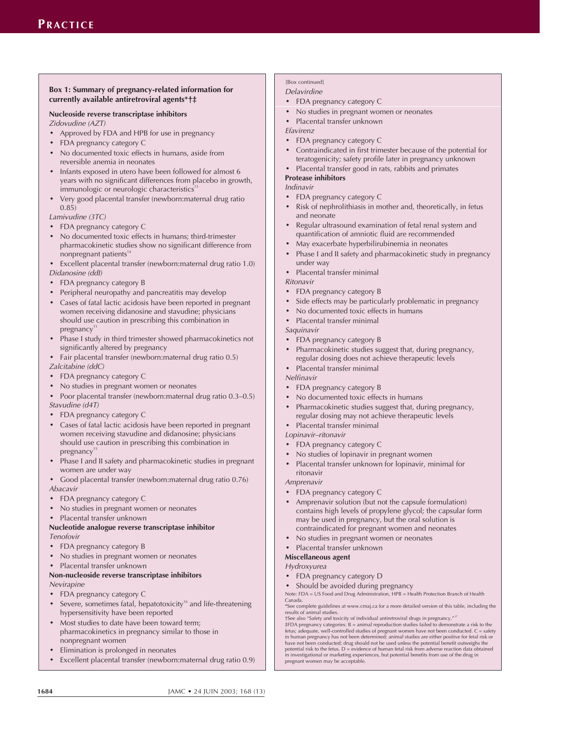#### **Box 1: Summary of pregnancy-related information for currently available antiretroviral agents\*†‡**

#### **Nucleoside reverse transcriptase inhibitors** Zidovudine (AZT)

- Approved by FDA and HPB for use in pregnancy
- FDA pregnancy category C
- No documented toxic effects in humans, aside from reversible anemia in neonates
- Infants exposed in utero have been followed for almost 6 years with no significant differences from placebo in growth, immunologic or neurologic characteristics<sup>13</sup>
- Very good placental transfer (newborn:maternal drug ratio 0.85)

Lamivudine (3TC)

- FDA pregnancy category C
- No documented toxic effects in humans; third-trimester pharmacokinetic studies show no significant difference from nonpregnant patients $14$
- Excellent placental transfer (newborn:maternal drug ratio 1.0) Didanosine (ddI)
- FDA pregnancy category B
- Peripheral neuropathy and pancreatitis may develop
- Cases of fatal lactic acidosis have been reported in pregnant women receiving didanosine and stavudine; physicians should use caution in prescribing this combination in  $pregnancy$ <sup>15</sup>
- Phase I study in third trimester showed pharmacokinetics not significantly altered by pregnancy
- Fair placental transfer (newborn:maternal drug ratio 0.5)

Zalcitabine (ddC)

- FDA pregnancy category C
- No studies in pregnant women or neonates
- Poor placental transfer (newborn:maternal drug ratio 0.3–0.5) Stavudine (d4T)
- FDA pregnancy category C
- Cases of fatal lactic acidosis have been reported in pregnant women receiving stavudine and didanosine; physicians should use caution in prescribing this combination in pregnancy
- Phase I and II safety and pharmacokinetic studies in pregnant women are under way
- Good placental transfer (newborn:maternal drug ratio 0.76)

Abacavir

- FDA pregnancy category C
- No studies in pregnant women or neonates
- Placental transfer unknown

#### **Nucleotide analogue reverse transcriptase inhibitor** Tenofovir

- FDA pregnancy category B
- No studies in pregnant women or neonates
- Placental transfer unknown

#### **Non-nucleoside reverse transcriptase inhibitors** Nevirapine

- FDA pregnancy category C
- Severe, sometimes fatal, hepatotoxicity<sup>16</sup> and life-threatening hypersensitivity have been reported
- Most studies to date have been toward term; pharmacokinetics in pregnancy similar to those in nonpregnant women
- Elimination is prolonged in neonates
- Excellent placental transfer (newborn:maternal drug ratio 0.9)

#### [Box continued] Delavirdine

- FDA pregnancy category C
- No studies in pregnant women or neonates
- Placental transfer unknown

#### Efavirenz

- FDA pregnancy category C
- Contraindicated in first trimester because of the potential for teratogenicity; safety profile later in pregnancy unknown
- Placental transfer good in rats, rabbits and primates

#### **Protease inhibitors**

Indinavir

- FDA pregnancy category C
- Risk of nephrolithiasis in mother and, theoretically, in fetus and neonate
- Regular ultrasound examination of fetal renal system and quantification of amniotic fluid are recommended
- May exacerbate hyperbilirubinemia in neonates
- Phase I and II safety and pharmacokinetic study in pregnancy under way
- Placental transfer minimal

#### Ritonavir

- FDA pregnancy category B
- Side effects may be particularly problematic in pregnancy
- No documented toxic effects in humans
- Placental transfer minimal

#### Saquinavir

- FDA pregnancy category B
- Pharmacokinetic studies suggest that, during pregnancy, regular dosing does not achieve therapeutic levels
- Placental transfer minimal

## Nelfinavir

- FDA pregnancy category B
- No documented toxic effects in humans
- Pharmacokinetic studies suggest that, during pregnancy, regular dosing may not achieve therapeutic levels
- Placental transfer minimal

#### Lopinavir–ritonavir

- FDA pregnancy category C
- No studies of lopinavir in pregnant women
- Placental transfer unknown for lopinavir, minimal for ritonavir

Amprenavir

- FDA pregnancy category C
- Amprenavir solution (but not the capsule formulation) contains high levels of propylene glycol; the capsular form may be used in pregnancy, but the oral solution is contraindicated for pregnant women and neonates
- No studies in pregnant women or neonates
- Placental transfer unknown

## **Miscellaneous agent**

## Hydroxyurea

- FDA pregnancy category D
- Should be avoided during pregnancy

Note: FDA = US Food and Drug Administration, HPB = Health Protection Branch of Health Canada.

\*See complete guidelines at www.cmaj.ca for a more detailed version of this table, including the results of animal studies. †See also "Safety and toxicity of individual antiretroviral drugs in pregnancy." 17

‡FDA pregnancy categories: B = animal reproduction studies failed to demonstrate a risk to the fetus; adequate, well-controlled studies of pregnant women have not been conducted. C = safety in human pregnancy has not been determined; animal studies are either positive for fetal risk or<br>have not been conducted; drug should not be used unless the potential benefit outweighs the<br>potential risk to the fetus. D = in investigational or marketing experiences, but potential benefits from use of the drug in pregnant women may be acceptable.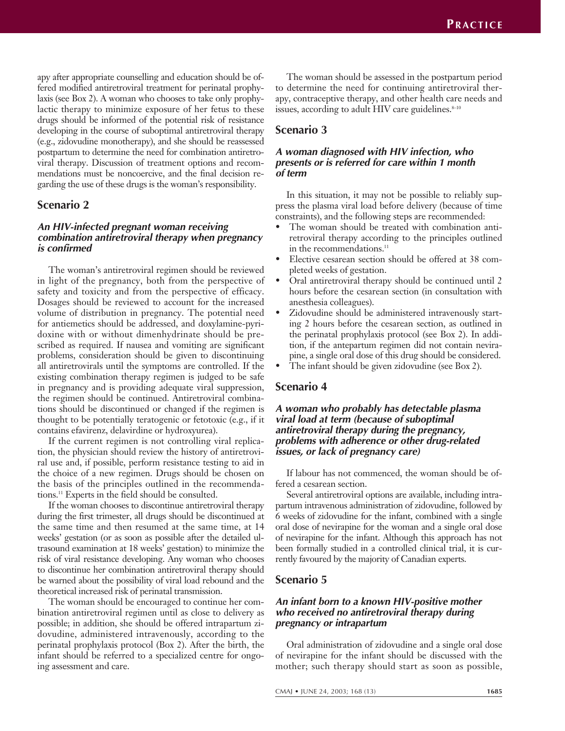apy after appropriate counselling and education should be offered modified antiretroviral treatment for perinatal prophylaxis (see Box 2). A woman who chooses to take only prophylactic therapy to minimize exposure of her fetus to these drugs should be informed of the potential risk of resistance developing in the course of suboptimal antiretroviral therapy (e.g., zidovudine monotherapy), and she should be reassessed postpartum to determine the need for combination antiretroviral therapy. Discussion of treatment options and recommendations must be noncoercive, and the final decision regarding the use of these drugs is the woman's responsibility.

## **Scenario 2**

### **An HIV-infected pregnant woman receiving combination antiretroviral therapy when pregnancy is confirmed**

The woman's antiretroviral regimen should be reviewed in light of the pregnancy, both from the perspective of safety and toxicity and from the perspective of efficacy. Dosages should be reviewed to account for the increased volume of distribution in pregnancy. The potential need for antiemetics should be addressed, and doxylamine-pyridoxine with or without dimenhydrinate should be prescribed as required. If nausea and vomiting are significant problems, consideration should be given to discontinuing all antiretrovirals until the symptoms are controlled. If the existing combination therapy regimen is judged to be safe in pregnancy and is providing adequate viral suppression, the regimen should be continued. Antiretroviral combinations should be discontinued or changed if the regimen is thought to be potentially teratogenic or fetotoxic (e.g., if it contains efavirenz, delavirdine or hydroxyurea).

If the current regimen is not controlling viral replication, the physician should review the history of antiretroviral use and, if possible, perform resistance testing to aid in the choice of a new regimen. Drugs should be chosen on the basis of the principles outlined in the recommendations.11 Experts in the field should be consulted.

If the woman chooses to discontinue antiretroviral therapy during the first trimester, all drugs should be discontinued at the same time and then resumed at the same time, at 14 weeks' gestation (or as soon as possible after the detailed ultrasound examination at 18 weeks' gestation) to minimize the risk of viral resistance developing. Any woman who chooses to discontinue her combination antiretroviral therapy should be warned about the possibility of viral load rebound and the theoretical increased risk of perinatal transmission.

The woman should be encouraged to continue her combination antiretroviral regimen until as close to delivery as possible; in addition, she should be offered intrapartum zidovudine, administered intravenously, according to the perinatal prophylaxis protocol (Box 2). After the birth, the infant should be referred to a specialized centre for ongoing assessment and care.

The woman should be assessed in the postpartum period to determine the need for continuing antiretroviral therapy, contraceptive therapy, and other health care needs and issues, according to adult HIV care guidelines. $8-10$ 

## **Scenario 3**

## **A woman diagnosed with HIV infection, who presents or is referred for care within 1 month of term**

In this situation, it may not be possible to reliably suppress the plasma viral load before delivery (because of time constraints), and the following steps are recommended:

- The woman should be treated with combination antiretroviral therapy according to the principles outlined in the recommendations.<sup>11</sup>
- Elective cesarean section should be offered at 38 completed weeks of gestation.
- Oral antiretroviral therapy should be continued until 2 hours before the cesarean section (in consultation with anesthesia colleagues).
- Zidovudine should be administered intravenously starting 2 hours before the cesarean section, as outlined in the perinatal prophylaxis protocol (see Box 2). In addition, if the antepartum regimen did not contain nevirapine, a single oral dose of this drug should be considered.
- The infant should be given zidovudine (see Box 2).

## **Scenario 4**

### **A woman who probably has detectable plasma viral load at term (because of suboptimal antiretroviral therapy during the pregnancy, problems with adherence or other drug-related issues, or lack of pregnancy care)**

If labour has not commenced, the woman should be offered a cesarean section.

Several antiretroviral options are available, including intrapartum intravenous administration of zidovudine, followed by 6 weeks of zidovudine for the infant, combined with a single oral dose of nevirapine for the woman and a single oral dose of nevirapine for the infant. Although this approach has not been formally studied in a controlled clinical trial, it is currently favoured by the majority of Canadian experts.

# **Scenario 5**

## **An infant born to a known HIV-positive mother who received no antiretroviral therapy during pregnancy or intrapartum**

Oral administration of zidovudine and a single oral dose of nevirapine for the infant should be discussed with the mother; such therapy should start as soon as possible,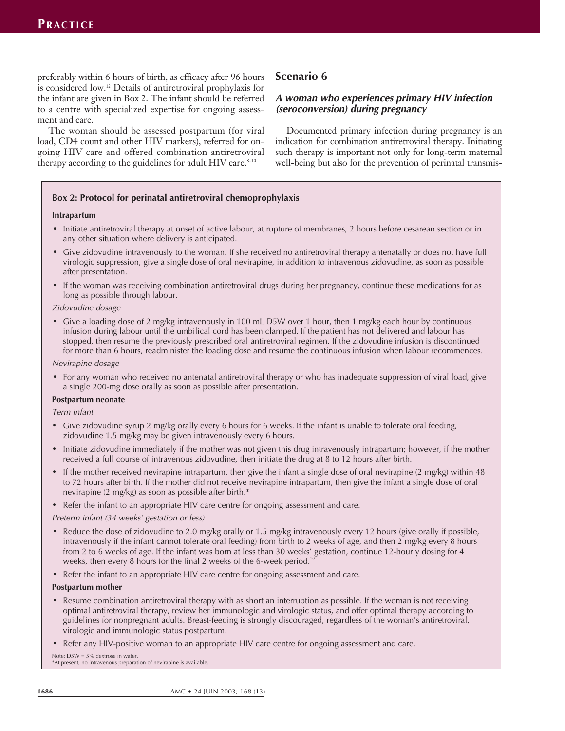preferably within 6 hours of birth, as efficacy after 96 hours is considered low.12 Details of antiretroviral prophylaxis for the infant are given in Box 2. The infant should be referred to a centre with specialized expertise for ongoing assessment and care.

The woman should be assessed postpartum (for viral load, CD4 count and other HIV markers), referred for ongoing HIV care and offered combination antiretroviral therapy according to the guidelines for adult  $HIV$  care. $8-10$ 

# **Scenario 6**

## **A woman who experiences primary HIV infection (seroconversion) during pregnancy**

Documented primary infection during pregnancy is an indication for combination antiretroviral therapy. Initiating such therapy is important not only for long-term maternal well-being but also for the prevention of perinatal transmis-

## **Box 2: Protocol for perinatal antiretroviral chemoprophylaxis**

#### **Intrapartum**

- Initiate antiretroviral therapy at onset of active labour, at rupture of membranes, 2 hours before cesarean section or in any other situation where delivery is anticipated.
- Give zidovudine intravenously to the woman. If she received no antiretroviral therapy antenatally or does not have full virologic suppression, give a single dose of oral nevirapine, in addition to intravenous zidovudine, as soon as possible after presentation.
- If the woman was receiving combination antiretroviral drugs during her pregnancy, continue these medications for as long as possible through labour.

#### Zidovudine dosage

• Give a loading dose of 2 mg/kg intravenously in 100 mL D5W over 1 hour, then 1 mg/kg each hour by continuous infusion during labour until the umbilical cord has been clamped. If the patient has not delivered and labour has stopped, then resume the previously prescribed oral antiretroviral regimen. If the zidovudine infusion is discontinued for more than 6 hours, readminister the loading dose and resume the continuous infusion when labour recommences.

Nevirapine dosage

• For any woman who received no antenatal antiretroviral therapy or who has inadequate suppression of viral load, give a single 200-mg dose orally as soon as possible after presentation.

#### **Postpartum neonate**

Term infant

- Give zidovudine syrup 2 mg/kg orally every 6 hours for 6 weeks. If the infant is unable to tolerate oral feeding, zidovudine 1.5 mg/kg may be given intravenously every 6 hours.
- Initiate zidovudine immediately if the mother was not given this drug intravenously intrapartum; however, if the mother received a full course of intravenous zidovudine, then initiate the drug at 8 to 12 hours after birth.
- If the mother received nevirapine intrapartum, then give the infant a single dose of oral nevirapine  $(2 \text{ mg/kg})$  within 48 to 72 hours after birth. If the mother did not receive nevirapine intrapartum, then give the infant a single dose of oral nevirapine (2 mg/kg) as soon as possible after birth.\*
- Refer the infant to an appropriate HIV care centre for ongoing assessment and care.

Preterm infant (34 weeks' gestation or less)

- Reduce the dose of zidovudine to 2.0 mg/kg orally or 1.5 mg/kg intravenously every 12 hours (give orally if possible, intravenously if the infant cannot tolerate oral feeding) from birth to 2 weeks of age, and then 2 mg/kg every 8 hours from 2 to 6 weeks of age. If the infant was born at less than 30 weeks' gestation, continue 12-hourly dosing for 4 weeks, then every 8 hours for the final 2 weeks of the 6-week period.<sup>18</sup>
- Refer the infant to an appropriate HIV care centre for ongoing assessment and care.

#### **Postpartum mother**

- Resume combination antiretroviral therapy with as short an interruption as possible. If the woman is not receiving optimal antiretroviral therapy, review her immunologic and virologic status, and offer optimal therapy according to guidelines for nonpregnant adults. Breast-feeding is strongly discouraged, regardless of the woman's antiretroviral, virologic and immunologic status postpartum.
- Refer any HIV-positive woman to an appropriate HIV care centre for ongoing assessment and care.

Note: D5W = 5% dextrose in water. \*At present, no intravenous preparation of nevirapine is available.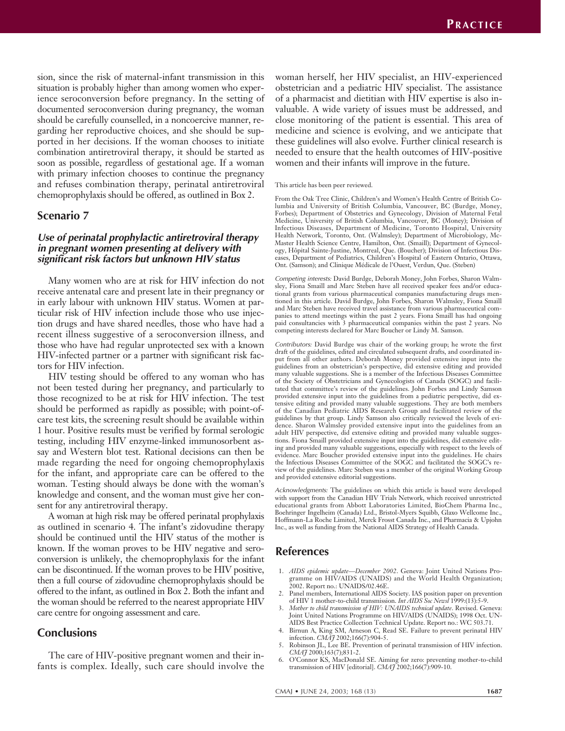sion, since the risk of maternal-infant transmission in this situation is probably higher than among women who experience seroconversion before pregnancy. In the setting of documented seroconversion during pregnancy, the woman should be carefully counselled, in a noncoercive manner, regarding her reproductive choices, and she should be supported in her decisions. If the woman chooses to initiate combination antiretroviral therapy, it should be started as soon as possible, regardless of gestational age. If a woman with primary infection chooses to continue the pregnancy and refuses combination therapy, perinatal antiretroviral chemoprophylaxis should be offered, as outlined in Box 2.

## **Scenario 7**

## **Use of perinatal prophylactic antiretroviral therapy in pregnant women presenting at delivery with significant risk factors but unknown HIV status**

Many women who are at risk for HIV infection do not receive antenatal care and present late in their pregnancy or in early labour with unknown HIV status. Women at particular risk of HIV infection include those who use injection drugs and have shared needles, those who have had a recent illness suggestive of a seroconversion illness, and those who have had regular unprotected sex with a known HIV-infected partner or a partner with significant risk factors for HIV infection.

HIV testing should be offered to any woman who has not been tested during her pregnancy, and particularly to those recognized to be at risk for HIV infection. The test should be performed as rapidly as possible; with point-ofcare test kits, the screening result should be available within 1 hour. Positive results must be verified by formal serologic testing, including HIV enzyme-linked immunosorbent assay and Western blot test. Rational decisions can then be made regarding the need for ongoing chemoprophylaxis for the infant, and appropriate care can be offered to the woman. Testing should always be done with the woman's knowledge and consent, and the woman must give her consent for any antiretroviral therapy.

A woman at high risk may be offered perinatal prophylaxis as outlined in scenario 4. The infant's zidovudine therapy should be continued until the HIV status of the mother is known. If the woman proves to be HIV negative and seroconversion is unlikely, the chemoprophylaxis for the infant can be discontinued. If the woman proves to be HIV positive, then a full course of zidovudine chemoprophylaxis should be offered to the infant, as outlined in Box 2. Both the infant and the woman should be referred to the nearest appropriate HIV care centre for ongoing assessment and care.

# **Conclusions**

The care of HIV-positive pregnant women and their infants is complex. Ideally, such care should involve the

woman herself, her HIV specialist, an HIV-experienced obstetrician and a pediatric HIV specialist. The assistance of a pharmacist and dietitian with HIV expertise is also invaluable. A wide variety of issues must be addressed, and close monitoring of the patient is essential. This area of medicine and science is evolving, and we anticipate that these guidelines will also evolve. Further clinical research is needed to ensure that the health outcomes of HIV-positive women and their infants will improve in the future.

#### This article has been peer reviewed.

From the Oak Tree Clinic, Children's and Women's Health Centre of British Columbia and University of British Columbia, Vancouver, BC (Burdge, Money, Forbes); Department of Obstetrics and Gynecology, Division of Maternal Fetal Medicine, University of British Columbia, Vancouver, BC (Money); Division of Infectious Diseases, Department of Medicine, Toronto Hospital, University Health Network, Toronto, Ont. (Walmsley); Department of Microbiology, Mc-Master Health Science Centre, Hamilton, Ont. (Smaill); Department of Gynecology, Hôpital Sainte-Justine, Montreal, Que. (Boucher); Division of Infectious Diseases, Department of Pediatrics, Children's Hospital of Eastern Ontario, Ottawa, Ont. (Samson); and Clinique Médicale de l'Ouest, Verdun, Que. (Steben)

Competing interests*:* David Burdge, Deborah Money, John Forbes, Sharon Walmsley, Fiona Smaill and Marc Steben have all received speaker fees and/or educational grants from various pharmaceutical companies manufacturing drugs mentioned in this article. David Burdge, John Forbes, Sharon Walmsley, Fiona Smaill and Marc Steben have received travel assistance from various pharmaceutical companies to attend meetings within the past 2 years. Fiona Smaill has had ongoing paid consultancies with 3 pharmaceutical companies within the past 2 years. No competing interests declared for Marc Boucher or Lindy M. Samson.

Contributors*:* David Burdge was chair of the working group; he wrote the first draft of the guidelines, edited and circulated subsequent drafts, and coordinated input from all other authors. Deborah Money provided extensive input into the guidelines from an obstetrician's perspective, did extensive editing and provided many valuable suggestions. She is a member of the Infectious Diseases Committee of the Society of Obstetricians and Gynecologists of Canada (SOGC) and facilitated that committee's review of the guidelines. John Forbes and Lindy Samson provided extensive input into the guidelines from a pediatric perspective, did extensive editing and provided many valuable suggestions. They are both members of the Canadian Pediatric AIDS Research Group and facilitated review of the guidelines by that group. Lindy Samson also critically reviewed the levels of evidence. Sharon Walmsley provided extensive input into the guidelines from an adult HIV perspective, did extensive editing and provided many valuable suggestions. Fiona Smaill provided extensive input into the guidelines, did extensive editing and provided many valuable suggestions, especially with respect to the levels of evidence. Marc Boucher provided extensive input into the guidelines. He chairs the Infectious Diseases Committee of the SOGC and facilitated the SOGC's review of the guidelines. Marc Steben was a member of the original Working Group and provided extensive editorial suggestions.

Acknowledgments*:* The guidelines on which this article is based were developed with support from the Canadian HIV Trials Network, which received unrestricted educational grants from Abbott Laboratories Limited, BioChem Pharma Inc., Boehringer Ingelheim (Canada) Ltd., Bristol-Myers Squibb, Glaxo Wellcome Inc., Hoffmann-La Roche Limited, Merck Frosst Canada Inc., and Pharmacia & Upjohn Inc., as well as funding from the National AIDS Strategy of Health Canada.

## **References**

- 1. *AIDS epidemic update—December 2002*. Geneva: Joint United Nations Programme on HIV/AIDS (UNAIDS) and the World Health Organization; 2002. Report no.: UNAIDS/02.46E.
- 2. Panel members, International AIDS Society. IAS position paper on prevention of HIV 1 mother-to-child transmission. *Int AIDS Soc Newsl* 1999:(13):5-9.
- 3. *Mother to child transmission of HIV: UNAIDS technical update*. Revised. Geneva: Joint United Nations Programme on HIV/AIDS (UNAIDS); 1998 Oct. UN-AIDS Best Practice Collection Technical Update. Report no.: WC 503.71.
- Birnun A, King SM, Arneson C, Read SE. Failure to prevent perinatal HIV infection. *CMAJ* 2002;166(7):904-5.
- 5. Robinson JL, Lee BE. Prevention of perinatal transmission of HIV infection. *CMAJ* 2000;163(7);831-2.
- 6. O'Connor KS, MacDonald SE. Aiming for zero: preventing mother-to-child transmission of HIV [editorial]. *CMAJ* 2002;166(7):909-10.